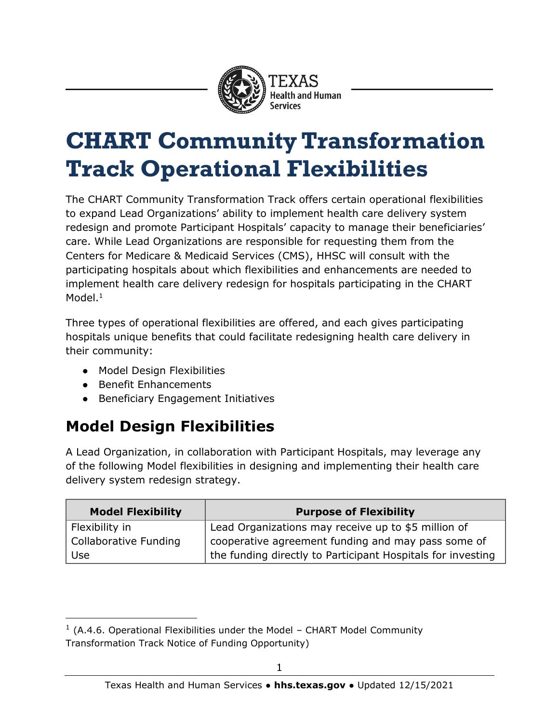

## **CHART Community Transformation Track Operational Flexibilities**

The CHART Community Transformation Track offers certain operational flexibilities to expand Lead Organizations' ability to implement health care delivery system redesign and promote Participant Hospitals' capacity to manage their beneficiaries' care. While Lead Organizations are responsible for requesting them from the Centers for Medicare & Medicaid Services (CMS), HHSC will consult with the participating hospitals about which flexibilities and enhancements are needed to implement health care delivery redesign for hospitals participating in the CHART Model.<sup>1</sup>

Three types of operational flexibilities are offered, and each gives participating hospitals unique benefits that could facilitate redesigning health care delivery in their community:

- Model Design Flexibilities
- Benefit Enhancements

 $\overline{a}$ 

● Beneficiary Engagement Initiatives

## **Model Design Flexibilities**

A Lead Organization, in collaboration with Participant Hospitals, may leverage any of the following Model flexibilities in designing and implementing their health care delivery system redesign strategy.

| <b>Model Flexibility</b> | <b>Purpose of Flexibility</b>                               |
|--------------------------|-------------------------------------------------------------|
| Flexibility in           | Lead Organizations may receive up to \$5 million of         |
| Collaborative Funding    | cooperative agreement funding and may pass some of          |
| Use                      | the funding directly to Participant Hospitals for investing |

 $1$  (A.4.6. Operational Flexibilities under the Model – CHART Model Community Transformation Track Notice of Funding Opportunity)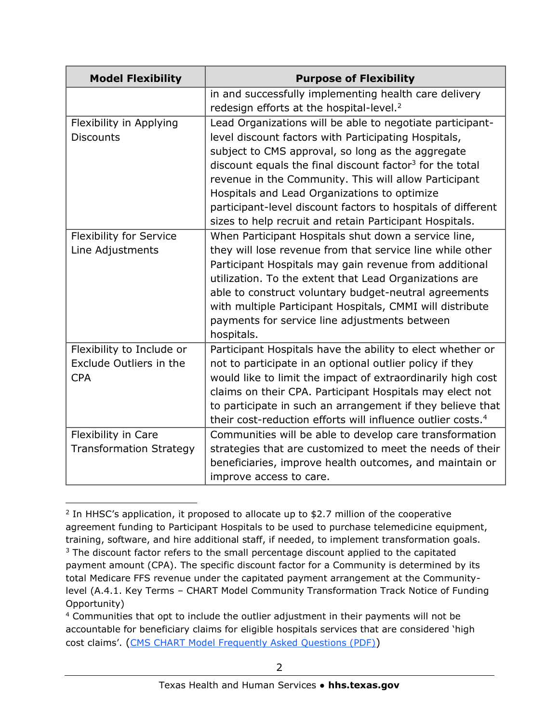| <b>Model Flexibility</b>       | <b>Purpose of Flexibility</b>                                                                                 |
|--------------------------------|---------------------------------------------------------------------------------------------------------------|
|                                | in and successfully implementing health care delivery<br>redesign efforts at the hospital-level. <sup>2</sup> |
|                                |                                                                                                               |
| Flexibility in Applying        | Lead Organizations will be able to negotiate participant-                                                     |
| <b>Discounts</b>               | level discount factors with Participating Hospitals,                                                          |
|                                | subject to CMS approval, so long as the aggregate                                                             |
|                                | discount equals the final discount factor <sup>3</sup> for the total                                          |
|                                | revenue in the Community. This will allow Participant                                                         |
|                                | Hospitals and Lead Organizations to optimize                                                                  |
|                                | participant-level discount factors to hospitals of different                                                  |
|                                | sizes to help recruit and retain Participant Hospitals.                                                       |
| <b>Flexibility for Service</b> | When Participant Hospitals shut down a service line,                                                          |
| Line Adjustments               | they will lose revenue from that service line while other                                                     |
|                                | Participant Hospitals may gain revenue from additional                                                        |
|                                | utilization. To the extent that Lead Organizations are                                                        |
|                                | able to construct voluntary budget-neutral agreements                                                         |
|                                | with multiple Participant Hospitals, CMMI will distribute                                                     |
|                                | payments for service line adjustments between                                                                 |
|                                | hospitals.                                                                                                    |
| Flexibility to Include or      | Participant Hospitals have the ability to elect whether or                                                    |
| Exclude Outliers in the        | not to participate in an optional outlier policy if they                                                      |
| <b>CPA</b>                     | would like to limit the impact of extraordinarily high cost                                                   |
|                                |                                                                                                               |
|                                | claims on their CPA. Participant Hospitals may elect not                                                      |
|                                | to participate in such an arrangement if they believe that                                                    |
|                                | their cost-reduction efforts will influence outlier costs. <sup>4</sup>                                       |
| Flexibility in Care            | Communities will be able to develop care transformation                                                       |
| <b>Transformation Strategy</b> | strategies that are customized to meet the needs of their                                                     |
|                                | beneficiaries, improve health outcomes, and maintain or                                                       |
|                                | improve access to care.                                                                                       |

<sup>&</sup>lt;sup>2</sup> In HHSC's application, it proposed to allocate up to \$2.7 million of the cooperative agreement funding to Participant Hospitals to be used to purchase telemedicine equipment, training, software, and hire additional staff, if needed, to implement transformation goals. <sup>3</sup> The discount factor refers to the small percentage discount applied to the capitated payment amount (CPA). The specific discount factor for a Community is determined by its total Medicare FFS revenue under the capitated payment arrangement at the Communitylevel (A.4.1. Key Terms – CHART Model Community Transformation Track Notice of Funding Opportunity)

j

<sup>4</sup> Communities that opt to include the outlier adjustment in their payments will not be accountable for beneficiary claims for eligible hospitals services that are considered 'high cost claims'. ([CMS CHART Model Frequently Asked Questions \(PDF\)](https://innovation.cms.gov/media/document/chart-model-faqs))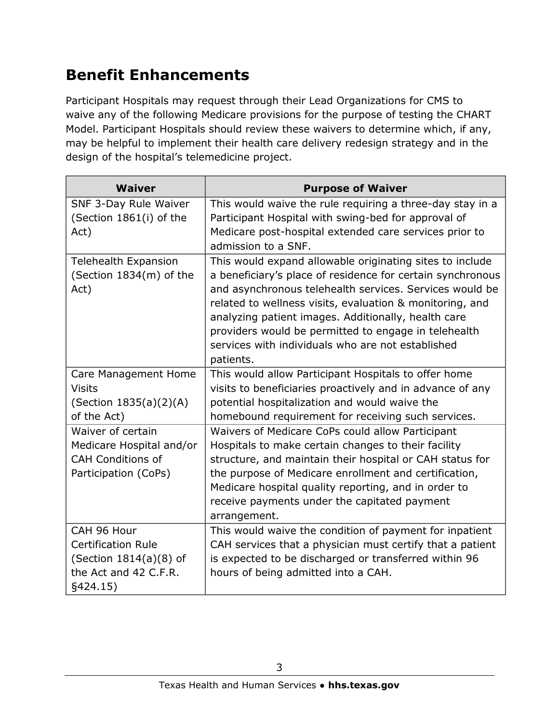## **Benefit Enhancements**

Participant Hospitals may request through their Lead Organizations for CMS to waive any of the following Medicare provisions for the purpose of testing the CHART Model. Participant Hospitals should review these waivers to determine which, if any, may be helpful to implement their health care delivery redesign strategy and in the design of the hospital's telemedicine project.

| <b>Waiver</b>               | <b>Purpose of Waiver</b>                                   |
|-----------------------------|------------------------------------------------------------|
| SNF 3-Day Rule Waiver       | This would waive the rule requiring a three-day stay in a  |
| (Section 1861(i) of the     | Participant Hospital with swing-bed for approval of        |
| Act)                        | Medicare post-hospital extended care services prior to     |
|                             | admission to a SNF.                                        |
| <b>Telehealth Expansion</b> | This would expand allowable originating sites to include   |
| (Section 1834(m) of the     | a beneficiary's place of residence for certain synchronous |
| Act)                        | and asynchronous telehealth services. Services would be    |
|                             | related to wellness visits, evaluation & monitoring, and   |
|                             | analyzing patient images. Additionally, health care        |
|                             | providers would be permitted to engage in telehealth       |
|                             | services with individuals who are not established          |
|                             | patients.                                                  |
| Care Management Home        | This would allow Participant Hospitals to offer home       |
| <b>Visits</b>               | visits to beneficiaries proactively and in advance of any  |
| (Section 1835(a)(2)(A)      | potential hospitalization and would waive the              |
| of the Act)                 | homebound requirement for receiving such services.         |
| Waiver of certain           | Waivers of Medicare CoPs could allow Participant           |
| Medicare Hospital and/or    | Hospitals to make certain changes to their facility        |
| <b>CAH Conditions of</b>    | structure, and maintain their hospital or CAH status for   |
| Participation (CoPs)        | the purpose of Medicare enrollment and certification,      |
|                             | Medicare hospital quality reporting, and in order to       |
|                             | receive payments under the capitated payment               |
|                             | arrangement.                                               |
| CAH 96 Hour                 | This would waive the condition of payment for inpatient    |
| <b>Certification Rule</b>   | CAH services that a physician must certify that a patient  |
| (Section 1814(a)(8) of      | is expected to be discharged or transferred within 96      |
| the Act and 42 C.F.R.       | hours of being admitted into a CAH.                        |
| §424.15)                    |                                                            |